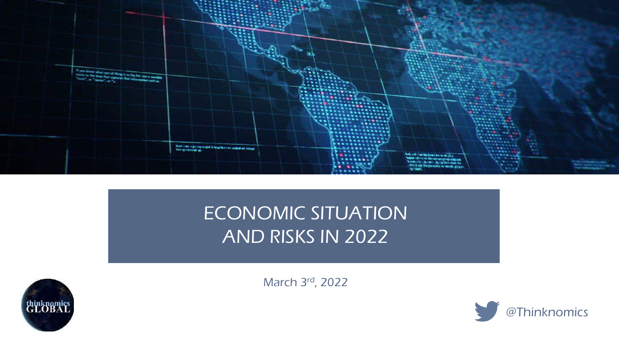

# ECONOMIC SITUATION AND RISKS IN 2022

March 3rd, 2022



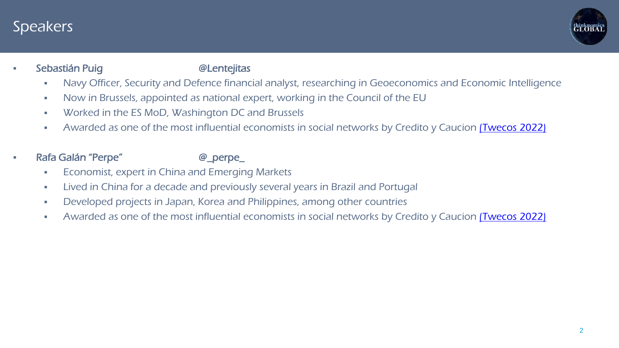

### Sebastián Puig **artes and Sebastián Puig and Sebastián Puis**

- Navy Officer, Security and Defence financial analyst, researching in Geoeconomics and Economic Intelligence
- Now in Brussels, appointed as national expert, working in the Council of the EU
- Worked in the ES MoD, Washington DC and Brussels
- Awarded as one of the most influential economists in social networks by Credito y Caucion [\(Twecos](https://www.creditoycaucion.es/es/twecos/listado) 2022)
- Rafa Galán "Perpe" @\_perpe\_

- **Economist, expert in China and Emerging Markets**
- Lived in China for a decade and previously several years in Brazil and Portugal
- Developed projects in Japan, Korea and Philippines, among other countries
- Awarded as one of the most influential economists in social networks by Credito y Caucion *[\(Twecos](https://www.creditoycaucion.es/es/twecos/listado) 2022)*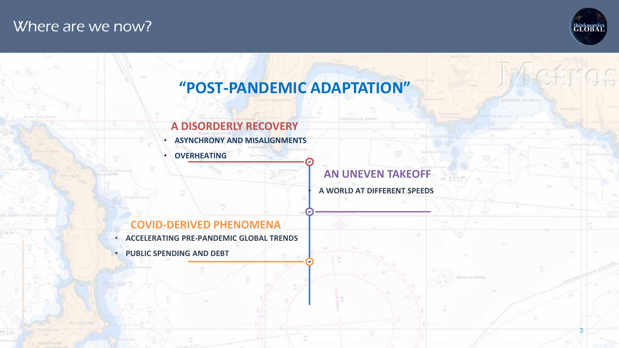### Where are we now?



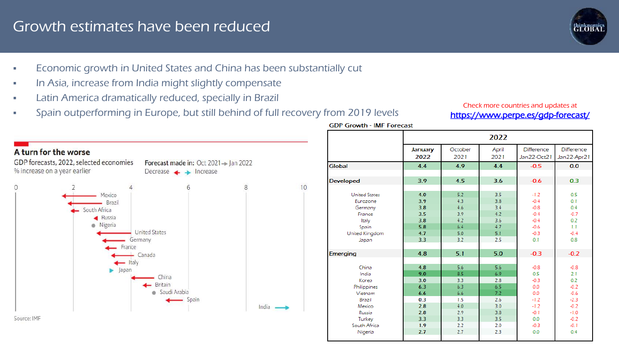### Growth estimates have been reduced

- **Economic growth in United States and China has been substantially cut**
- In Asia, increase from India might slightly compensate
- **Latin America dramatically reduced, specially in Brazil**
- Spain outperforming in Europe, but still behind of full recovery from 2019 levels

### Check more countries and updates at <https://www.perpe.es/gdp-forecast/>



|                      | 2022    |         |       |                   |                   |  |  |  |
|----------------------|---------|---------|-------|-------------------|-------------------|--|--|--|
|                      | January | October | April | <b>Difference</b> | <b>Difference</b> |  |  |  |
|                      | 2022    | 2021    | 2021  | Jan22-Oct21       | Jan22-Apr21       |  |  |  |
| Global               | 4.4     | 4.9     | 4.4   | $-0.5$            | 0.0               |  |  |  |
|                      |         |         |       |                   |                   |  |  |  |
| <b>Developed</b>     | 3.9     | 4.5     | 3.6   | $-0.6$            | 0.3               |  |  |  |
|                      |         |         |       |                   |                   |  |  |  |
| <b>United States</b> | 4.0     | 5.2     | 3.5   | $-1.2$            | 0.5               |  |  |  |
| Eurozone             | 3.9     | 4.3     | 3.8   | $-0.4$            | 0.1               |  |  |  |
| Germany              | 3.8     | 4.6     | 3.4   | $-0.8$            | 0.4               |  |  |  |
| France               | 3.5     | 3.9     | 4.2   | $-0.4$            | $-0.7$            |  |  |  |
| Italy                | 3.8     | 4.2     | 3.6   | $-0.4$            | 0.2               |  |  |  |
| Spain                | 5.8     | 6.4     | 4.7   | $-0.6$            | 1.1               |  |  |  |
| United Kingdom       | 4.7     | 5.0     | 5.1   | $-0.3$            | $-0.4$            |  |  |  |
| Japan                | 3.3     | 3.2     | 2.5   | 0.1               | 0.8               |  |  |  |
|                      |         |         |       |                   |                   |  |  |  |
| <b>Emerging</b>      | 4.8     | 5.1     | 5.0   | $-0.3$            | $-0.2$            |  |  |  |
|                      |         |         |       |                   |                   |  |  |  |
| China                | 4.8     | 5.6     | 5.6   | $-0.8$            | $-0.8$            |  |  |  |
| India                | 9.0     | 8.5     | 6.9   | 0.5               | 2.1               |  |  |  |
| Korea                | 3.0     | 3.3     | 2.8   | $-0.3$            | 0.2               |  |  |  |
| Philippines          | 6.3     | 6.3     | 6.5   | 0.0               | $-0.2$            |  |  |  |
| Vietnam              | 6.6     | 6.6     | 7.2   | 0.0               | $-0.6$            |  |  |  |
| Brazil               | 0.3     | 1.5     | 2.6   | $-1.2$            | $-2.3$            |  |  |  |
| Mexico               | 2.8     | 4.0     | 3.0   | $-1.2$            | $-0.2$            |  |  |  |
| Russia               | 2.8     | 2.9     | 3.8   | $-0.1$            | $-1.0$            |  |  |  |
| Turkey               | 3.3     | 3.3     | 3.5   | 0.0               | $-0.2$            |  |  |  |
| South Africa         | 1.9     | 2.2     | 2.0   | $-0.3$            | $-0.1$            |  |  |  |
| Nigeria              | 2.7     | 2.7     | 2.3   | 0.0               | 0.4               |  |  |  |

**GDP Growth - IMF Forecast**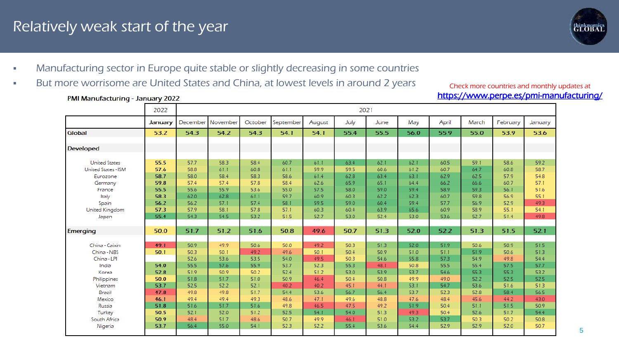### Relatively weak start of the year

PMI Manufacturing - January 2022



5

- Manufacturing sector in Europe quite stable or slightly decreasing in some countries
- But more worrisome are United States and China, at lowest levels in around 2 years

#### Check more countries and monthly updates at <https://www.perpe.es/pmi-manufacturing/>

|                       | 2022    | 2021 |                   |         |           |        |      |      |      |       |       |          |         |
|-----------------------|---------|------|-------------------|---------|-----------|--------|------|------|------|-------|-------|----------|---------|
|                       | January |      | December November | October | September | August | July | June | May  | April | March | February | January |
| Global                | 53.2    | 54.3 | 54.2              | 54.3    | 54.1      | 54.1   | 55.4 | 55.5 | 56.0 | 55.9  | 55.0  | 53.9     | 53.6    |
| <b>Developed</b>      |         |      |                   |         |           |        |      |      |      |       |       |          |         |
|                       |         |      |                   |         |           |        |      |      |      |       |       |          |         |
| <b>United States</b>  | 55.5    | 57.7 | 58.3              | 58.4    | 60.7      | 61.1   | 63.4 | 62.1 | 62.1 | 60.5  | 59.1  | 58.6     | 59.2    |
| United States - ISM   | 57.6    | 58.8 | 61.1              | 60.8    | 61.1      | 59.9   | 59.5 | 60.6 | 61.2 | 60.7  | 64.7  | 60.8     | 58.7    |
| Eurozone              | 58.7    | 58.0 | 58.4              | 58.3    | 58.6      | 61.4   | 62.8 | 63.4 | 63.1 | 62.9  | 62.5  | 57.9     | 54.8    |
| Germany               | 59.8    | 57.4 | 57.4              | 57.8    | 58.4      | 62.6   | 65.9 | 65.1 | 64.4 | 66.2  | 66.6  | 60.7     | 57.1    |
| France                | 55.5    | 55.6 | 55.9              | 53.6    | 55.0      | 57.5   | 58.0 | 59.0 | 59.4 | 58.9  | 59.3  | 56.1     | 51.6    |
| Italy                 | 58.3    | 62.0 | 62.8              | 61.1    | 59.7      | 60.9   | 60.3 | 62.2 | 62.3 | 60.7  | 59.8  | 56.9     | 55.1    |
| Spain                 | 56.2    | 56.2 | 57.1              | 57.4    | 58.1      | 59.5   | 59.0 | 60.4 | 59.4 | 57.7  | 56.9  | 52.9     | 49.3    |
| <b>United Kingdom</b> | 57.3    | 57.9 | 58.1              | 57.8    | 57.1      | 60.3   | 60.4 | 63.9 | 65.6 | 60.9  | 58.9  | 55.1     | 54.1    |
| Japan                 | 55.4    | 54.3 | 54.5              | 53.2    | 51.5      | 52.7   | 53.0 | 52.4 | 53.0 | 53.6  | 52.7  | 51.4     | 49.8    |
|                       |         |      |                   |         |           |        |      |      |      |       |       |          |         |
| <b>Emerging</b>       | 50.0    | 51.7 | 51.2              | 51.6    | 50.8      | 49.6   | 50.7 | 51.3 | 52.0 | 52.2  | 51.3  | 51.5     | 52.1    |
|                       |         |      |                   |         |           |        |      |      |      |       |       |          |         |
| China - Caixin        | 49.1    | 50.9 | 49.9              | 50.6    | 50.0      | 49.2   | 50.3 | 51.3 | 52.0 | 51.9  | 50.6  | 50.9     | 51.5    |
| China - NBS           | 50.1    | 50.3 | 50.1              | 49.2    | 49.6      | 50.1   | 50.4 | 50.9 | 51.0 | 51.1  | 51.9  | 50.6     | 51.3    |
| China - LPI           |         | 52.6 | 53.6              | 53.5    | 54.0      | 49.5   | 50.3 | 54.6 | 55.8 | 57.3  | 54.9  | 49.8     | 54.4    |
| India                 | 54.0    | 55.5 | 57.6              | 55.9    | 53.7      | 52.3   | 55.3 | 48.1 | 50.8 | 55.5  | 55.4  | 57.5     | 57.7    |
| Korea                 | 52.8    | 51.9 | 50.9              | 50.2    | 52.4      | 51.2   | 53.0 | 53.9 | 53.7 | 54.6  | 55.3  | 55.3     | 53.2    |
| Philippines           | 50.0    | 51.8 | 51.7              | 51.0    | 50.9      | 46.4   | 50.4 | 50.8 | 49.9 | 49.0  | 52.2  | 52.5     | 52.5    |
| Vietnam               | 53.7    | 52.5 | 52.2              | 52.1    | 40.2      | 40.2   | 45.1 | 44.1 | 53.1 | 54.7  | 53.6  | 51.6     | 51.3    |
| Brazil                | 47.8    | 49.8 | 49.8              | 51.7    | 54.4      | 53.6   | 56.7 | 56.4 | 53.7 | 52.3  | 52.8  | 58.4     | 56.5    |
| Mexico                | 46.1    | 49.4 | 49.4              | 49.3    | 48.6      | 47.1   | 49.6 | 48.8 | 47.6 | 48.4  | 45.6  | 44.2     | 43.0    |
| Russia                | 51.8    | 51.6 | 51.7              | 51.6    | 49.8      | 46.5   | 47.5 | 49.2 | 51.9 | 50.4  | 51.1  | 51.5     | 50.9    |
| Turkey                | 50.5    | 52.1 | 52.0              | 51.2    | 52.5      | 54.1   | 54.0 | 51.3 | 49.3 | 50.4  | 52.6  | 51.7     | 54.4    |
| South Africa          | 50.9    | 48.4 | 51.7              | 48.6    | 50.7      | 49.9   | 46.1 | 51.0 | 53.2 | 53.7  | 50.3  | 50.2     | 50.8    |
| Nigeria               | 53.7    | 56.4 | 55.0              | 54.1    | 52.3      | 52.2   | 55.4 | 53.6 | 54.4 | 52.9  | 52.9  | 52.0     | 50.7    |
|                       |         |      |                   |         |           |        |      |      |      |       |       |          |         |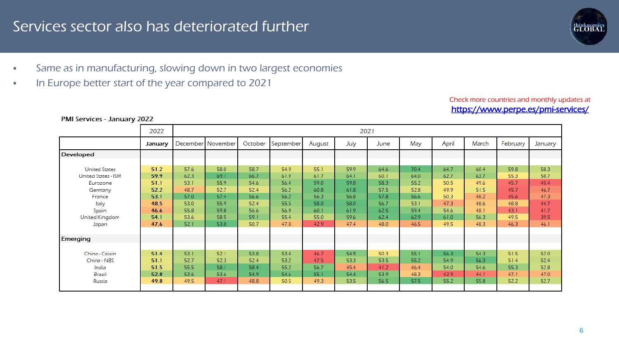### Services sector also has deteriorated further

- Same as in manufacturing, slowing down in two largest economies
- In Europe better start of the year compared to 2021

#### Check more countries and monthly updates at <https://www.perpe.es/pmi-services/>

|                            | 2022    |      | 2021              |         |           |        |      |      |      |       |       |          |         |  |
|----------------------------|---------|------|-------------------|---------|-----------|--------|------|------|------|-------|-------|----------|---------|--|
|                            | January |      | December November | October | September | August | July | June | May  | April | March | February | January |  |
| <b>Developed</b>           |         |      |                   |         |           |        |      |      |      |       |       |          |         |  |
|                            |         |      |                   |         |           |        |      |      |      |       |       |          |         |  |
| <b>United States</b>       | 51.2    | 57.6 | 58.0              | 58.7    | 54.9      | 55.1   | 59.9 | 64.6 | 70.4 | 64.7  | 60.4  | 59.8     | 58.3    |  |
| <b>United States - ISM</b> | 59.9    | 62.3 | 69.1              | 66.7    | 61.9      | 61.7   | 64.1 | 60.1 | 64.0 | 62.7  | 63.7  | 55.3     | 58.7    |  |
| Eurozone                   | 51.1    | 53.1 | 55.9              | 54.6    | 56.4      | 59.0   | 59.8 | 58.3 | 55.2 | 50.5  | 49.6  | 45.7     | 45.4    |  |
| Germany                    | 52.2    | 48.7 | 52.7              | 52.4    | 56.2      | 60.8   | 61.8 | 57.5 | 52.8 | 49.9  | 51.5  | 45.7     | 46.7    |  |
| France                     | 53.1    | 57.0 | 57.4              | 56.6    | 56.2      | 56.3   | 56.8 | 57.8 | 56.6 | 50.3  | 48.2  | 45.6     | 47.3    |  |
| Italy                      | 48.5    | 53.0 | 55.9              | 52.4    | 55.5      | 58.0   | 58.0 | 56.7 | 53.1 | 47.3  | 48.6  | 48.8     | 44.7    |  |
| Spain                      | 46.6    | 55.8 | 59.8              | 56.6    | 56.9      | 60.1   | 61.9 | 62.5 | 59.4 | 54.6  | 48.1  | 43.1     | 41.7    |  |
| United Kingdom             | 54.1    | 53.6 | 58.5              | 59.1    | 55.4      | 55.0   | 59.6 | 62.4 | 62.9 | 61.0  | 56.3  | 49.5     | 39.5    |  |
| Japan                      | 47.6    | 52.1 | 53.0              | 50.7    | 47.8      | 42.9   | 47.4 | 48.0 | 46.5 | 49.5  | 48.3  | 46.3     | 46.1    |  |
|                            |         |      |                   |         |           |        |      |      |      |       |       |          |         |  |
| <b>Emerging</b>            |         |      |                   |         |           |        |      |      |      |       |       |          |         |  |
|                            |         |      |                   |         |           |        |      |      |      |       |       |          |         |  |
| China - Caixin             | 51.4    | 53.1 | 52.1              | 53.8    | 53.4      | 46.7   | 54.9 | 50.3 | 55.1 | 56.3  | 54.3  | 51.5     | 52.0    |  |
| China - NBS                | 51.1    | 52.7 | 52.3              | 52.4    | 53.2      | 47.5   | 53.3 | 53.5 | 55.2 | 54.9  | 56.3  | 51.4     | 52.4    |  |
| India                      | 51.5    | 55.5 | 58.1              | 58.4    | 55.2      | 56.7   | 45.4 | 41.2 | 46.4 | 54.0  | 54.6  | 55.3     | 52.8    |  |
| Brazil                     | 52.8    | 53.6 | 53.6              | 54.9    | 54.6      | 55.1   | 54.4 | 53.9 | 48.3 | 42.9  | 44.1  | 47.1     | 47.0    |  |
| Russia                     | 49.8    | 49.5 | 47.1              | 48.8    | 50.5      | 49.3   | 53.5 | 56.5 | 57.5 | 55.2  | 55.8  | 52.2     | 52.7    |  |
|                            |         |      |                   |         |           |        |      |      |      |       |       |          |         |  |

#### PMI Services - January 2022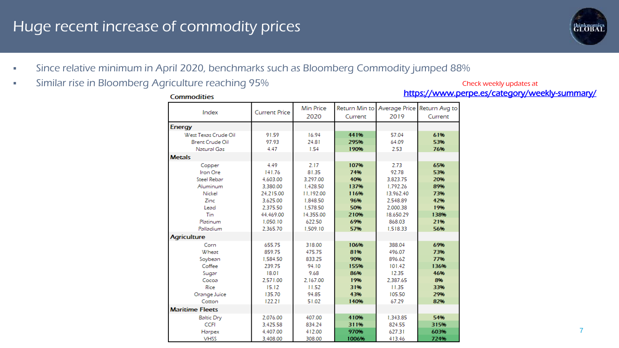## Huge recent increase of commodity prices



- Since relative minimum in April 2020, benchmarks such as Bloomberg Commodity jumped 88%
- **Similar rise in Bloomberg Agriculture reaching 95%**

Check weekly updates at <https://www.perpe.es/category/weekly-summary/>

| <b>Commodities</b>     |                      |           |         |                                           | <u>ntips://www.p</u> |
|------------------------|----------------------|-----------|---------|-------------------------------------------|----------------------|
| Index                  | <b>Current Price</b> | Min Price |         | Return Min to Average Price Return Avg to |                      |
|                        |                      | 2020      | Current | 2019                                      | Current              |
| <b>Energy</b>          |                      |           |         |                                           |                      |
| West Texas Crude Oil   | 91.59                | 16.94     | 441%    | 57.04                                     | 61%                  |
| <b>Brent Crude Oil</b> | 97.93                | 24.81     | 295%    | 64.09                                     | 53%                  |
| <b>Natural Gas</b>     | 4.47                 | 1.54      | 190%    | 2.53                                      | 76%                  |
| <b>Metals</b>          |                      |           |         |                                           |                      |
| Copper                 | 4.49                 | 2.17      | 107%    | 2.73                                      | 65%                  |
| Iron Ore               | 141.76               | 81.35     | 74%     | 92.78                                     | 53%                  |
| <b>Steel Rebar</b>     | 4,603.00             | 3,297.00  | 40%     | 3.823.75                                  | 20%                  |
| Aluminum               | 3.380.00             | 1.428.50  | 137%    | 1.792.26                                  | 89%                  |
| Nickel                 | 24.215.00            | 11.192.00 | 116%    | 13.962.40                                 | 73%                  |
| Zinc                   | 3.625.00             | 1,848.50  | 96%     | 2.548.89                                  | 42%                  |
| Lead                   | 2.375.50             | 1,578.50  | 50%     | 2,000.38                                  | 19%                  |
| Tin                    | 44.469.00            | 14,355.00 | 210%    | 18,650.29                                 | 138%                 |
| Platinum               | 1,050.10             | 622.50    | 69%     | 868.03                                    | 21%                  |
| Palladium              | 2.365.70             | 1.509.10  | 57%     | 1.518.33                                  | 56%                  |
| <b>Agriculture</b>     |                      |           |         |                                           |                      |
| Corn                   | 655.75               | 318.00    | 106%    | 388.04                                    | 69%                  |
| Wheat                  | 859.75               | 475.75    | 81%     | 496.07                                    | 73%                  |
| Soybean                | 1,584.50             | 833.25    | 90%     | 896.62                                    | 77%                  |
| Coffee                 | 239.75               | 94.10     | 155%    | 101.42                                    | 136%                 |
| Sugar                  | 18.01                | 9.68      | 86%     | 12.35                                     | 46%                  |
| Cocoa                  | 2.571.00             | 2.167.00  | 19%     | 2.387.65                                  | 8%                   |
| Rice                   | 15.12                | 11.52     | 31%     | 11.35                                     | 33%                  |
| Orange Juice           | 135.70               | 94.85     | 43%     | 105.50                                    | 29%                  |
| Cotton                 | 122.21               | 51.02     | 140%    | 67.29                                     | 82%                  |
| <b>Maritime Fleets</b> |                      |           |         |                                           |                      |
| <b>Baltic Dry</b>      | 2.076.00             | 407.00    | 410%    | 1.343.85                                  | 54%                  |
| <b>CCFI</b>            | 3.425.58             | 834.24    | 311%    | 824.55                                    | 315%                 |
| Harpex                 | 4,407.00             | 412.00    | 970%    | 627.31                                    | 603%                 |
| <b>VHSS</b>            | 3 408 00             | 308.00    | 1006%   | 41346                                     | 724%                 |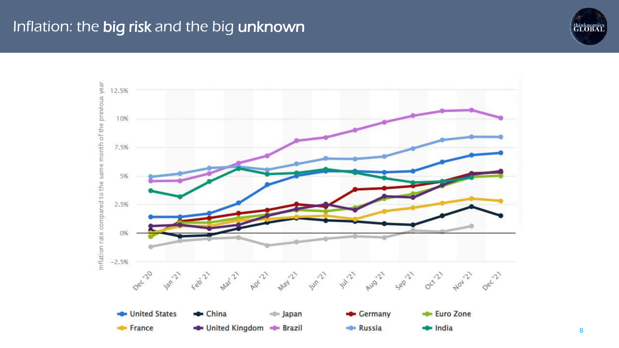## Inflation: the big risk and the big unknown

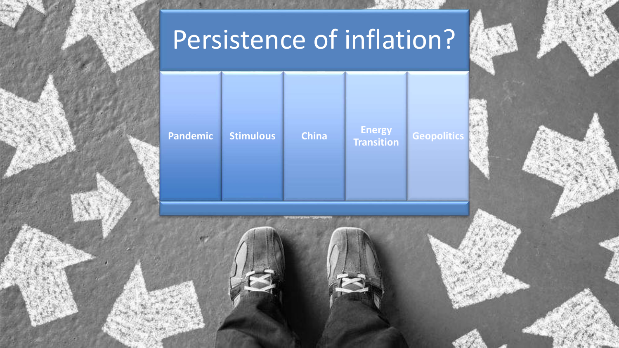

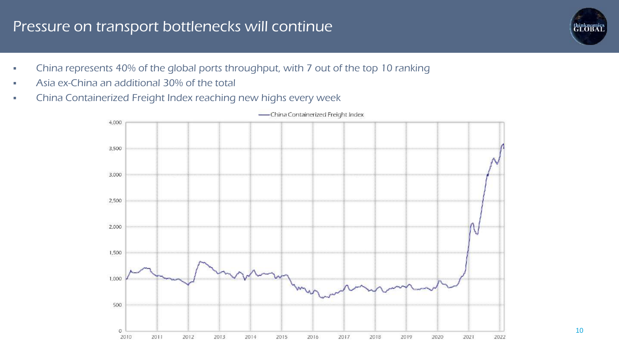### Pressure on transport bottlenecks will continue

- China represents 40% of the global ports throughput, with 7 out of the top 10 ranking
- Asia ex-China an additional 30% of the total
- China Containerized Freight Index reaching new highs every week



-China Containerized Freight Index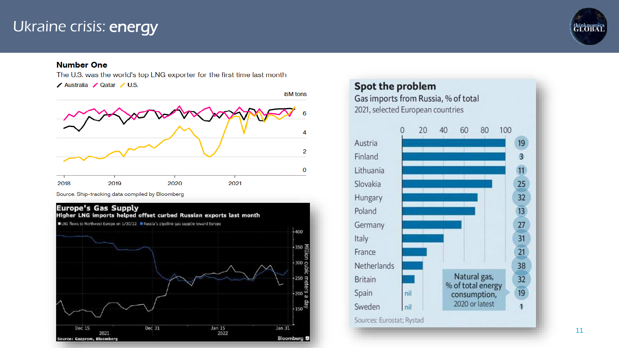### Ukraine crisis: energy



### **Number One**

The U.S. was the world's top LNG exporter for the first time last month **/ Australia** / Qatar / U.S.



Source: Ship-tracking data compiled by Bloomberg



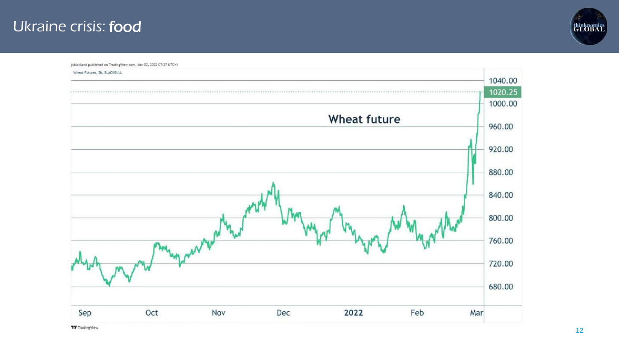### Ukraine crisis: food



jsbloidand published on TradingView.com, Mar 02, 2022 07:37 UTC+1 Wheat Futures, 2h, BLACKBULL 1040.00 1020.25 1000.00 **Wheat future** 960.00 920.00 880.00 840.00 800.00 760.00 720.00 680.00 Sep Oct 2022 Feb Mar Nov Dec

**TV** TradingView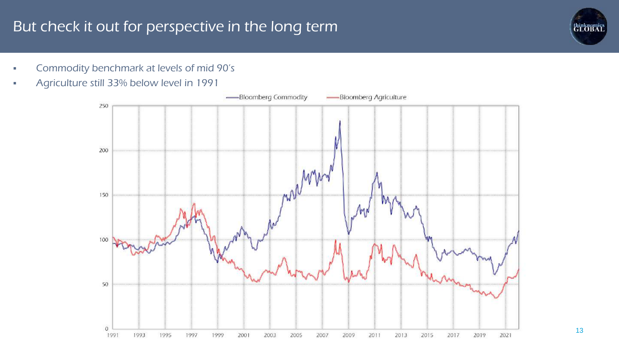## But check it out for perspective in the long term

- **Commodity benchmark at levels of mid 90's**
- Agriculture still 33% below level in 1991



*<u>ELOBAT</u>*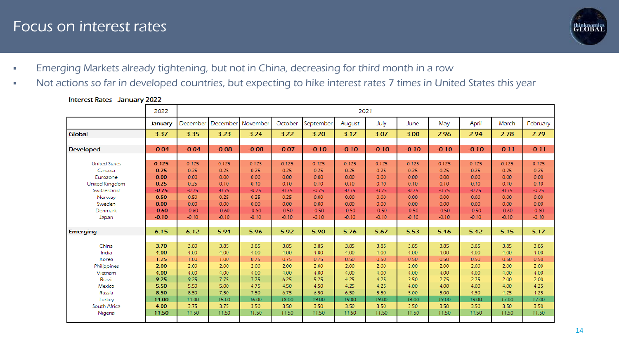### Focus on interest rates



- **Emerging Markets already tightening, but not in China, decreasing for third month in a row**
- Not actions so far in developed countries, but expecting to hike interest rates 7 times in United States this year

|                                                                                                                            | 2022                                                                                   |                                                                                        | 2021                                                                                   |                                                                                        |                                                                                        |                                                                                        |                                                                                        |                                                                                        |                                                                                        |                                                                                        |                                                                                        |                                                                                        |                                                                                        |
|----------------------------------------------------------------------------------------------------------------------------|----------------------------------------------------------------------------------------|----------------------------------------------------------------------------------------|----------------------------------------------------------------------------------------|----------------------------------------------------------------------------------------|----------------------------------------------------------------------------------------|----------------------------------------------------------------------------------------|----------------------------------------------------------------------------------------|----------------------------------------------------------------------------------------|----------------------------------------------------------------------------------------|----------------------------------------------------------------------------------------|----------------------------------------------------------------------------------------|----------------------------------------------------------------------------------------|----------------------------------------------------------------------------------------|
|                                                                                                                            | January                                                                                | December                                                                               |                                                                                        | December November                                                                      | October                                                                                | September                                                                              | August                                                                                 | July                                                                                   | June                                                                                   | May                                                                                    | April                                                                                  | March                                                                                  | February                                                                               |
| Global                                                                                                                     | 3.37                                                                                   | 3.35                                                                                   | 3.23                                                                                   | 3.24                                                                                   | 3.22                                                                                   | 3.20                                                                                   | 3.12                                                                                   | 3.07                                                                                   | 3.00                                                                                   | 2.96                                                                                   | 2.94                                                                                   | 2.78                                                                                   | 2.79                                                                                   |
| <b>Developed</b>                                                                                                           | $-0.04$                                                                                | $-0.04$                                                                                | $-0.08$                                                                                | $-0.08$                                                                                | $-0.07$                                                                                | $-0.10$                                                                                | $-0.10$                                                                                | $-0.10$                                                                                | $-0.10$                                                                                | $-0.10$                                                                                | $-0.10$                                                                                | $-0.11$                                                                                | $-0.11$                                                                                |
| <b>United States</b><br>Canada<br>Eurozone<br><b>United Kingdom</b><br>Switzerland<br>Norway<br>Sweden<br>Denmark<br>Japan | 0.125<br>0.25<br>0.00<br>0.25<br>$-0.75$<br>0.50<br>0.00<br>$-0.60$<br>$-0.10$         | 0.125<br>0.25<br>0.00<br>0.25<br>$-0.75$<br>0.50<br>0.00<br>$-0.60$<br>$-0.10$         | 0.125<br>0.25<br>0.00<br>0.10<br>$-0.75$<br>0.25<br>0.00<br>$-0.60$<br>$-0.10$         | 0.125<br>0.25<br>0.00<br>0.10<br>$-0.75$<br>0.25<br>0.00<br>$-0.60$<br>$-0.10$         | 0.125<br>0.25<br>0.00<br>0.10<br>$-0.75$<br>0.25<br>0.00<br>$-0.50$<br>$-0.10$         | 0.125<br>0.25<br>0.00<br>0.10<br>$-0.75$<br>0.00<br>0.00<br>$-0.50$<br>$-0.10$         | 0.125<br>0.25<br>0.00<br>0.10<br>$-0.75$<br>0.00<br>0.00<br>$-0.50$<br>$-0.10$         | 0.125<br>0.25<br>0.00<br>0.10<br>$-0.75$<br>0.00<br>0.00<br>$-0.50$<br>$-0.10$         | 0.125<br>0.25<br>0.00<br>0.10<br>$-0.75$<br>0.00<br>0.00<br>$-0.50$<br>$-0.10$         | 0.125<br>0.25<br>0.00<br>0.10<br>$-0.75$<br>0.00<br>0.00<br>$-0.50$<br>$-0.10$         | 0.125<br>0.25<br>0.00<br>0.10<br>$-0.75$<br>0.00<br>0.00<br>$-0.50$<br>$-0.10$         | 0.125<br>0.25<br>0.00<br>0.10<br>$-0.75$<br>0.00<br>0.00<br>$-0.60$<br>$-0.10$         | 0.125<br>0.25<br>0.00<br>0.10<br>$-0.75$<br>0.00<br>0.00<br>$-0.60$<br>$-0.10$         |
| Emerging                                                                                                                   | 6.15                                                                                   | 6.12                                                                                   | 5.94                                                                                   | 5.96                                                                                   | 5.92                                                                                   | 5.90                                                                                   | 5.76                                                                                   | 5.67                                                                                   | 5.53                                                                                   | 5.46                                                                                   | 5.42                                                                                   | 5.15                                                                                   | 5.17                                                                                   |
| China<br>India<br>Korea<br>Philippines<br>Vietnam<br>Brazil<br>Mexico<br>Russia<br>Turkey<br>South Africa<br>Nigeria       | 3.70<br>4.00<br>1.25<br>2.00<br>4.00<br>9.25<br>5.50<br>8.50<br>14.00<br>4.00<br>11.50 | 3.80<br>4.00<br>1.00<br>2.00<br>4.00<br>9.25<br>5.50<br>8.50<br>14.00<br>3.75<br>11.50 | 3.85<br>4.00<br>1.00<br>2.00<br>4.00<br>7.75<br>5.00<br>7.50<br>15.00<br>3.75<br>11.50 | 3.85<br>4.00<br>0.75<br>2.00<br>4.00<br>7.75<br>4.75<br>7.50<br>16.00<br>3.50<br>11.50 | 3.85<br>4.00<br>0.75<br>2.00<br>4.00<br>6.25<br>4.50<br>6.75<br>18.00<br>3.50<br>11.50 | 3.85<br>4.00<br>0.75<br>2.00<br>4.00<br>5.25<br>4.50<br>6.50<br>19.00<br>3.50<br>11.50 | 3.85<br>4.00<br>0.50<br>2.00<br>4.00<br>4.25<br>4.25<br>6.50<br>19.00<br>3.50<br>11.50 | 3.85<br>4.00<br>0.50<br>2.00<br>4.00<br>4.25<br>4.25<br>5.50<br>19.00<br>3.50<br>11.50 | 3.85<br>4.00<br>0.50<br>2.00<br>4.00<br>3.50<br>4.00<br>5.00<br>19.00<br>3.50<br>11.50 | 3.85<br>4.00<br>0.50<br>2.00<br>4.00<br>2.75<br>4.00<br>5.00<br>19.00<br>3.50<br>11.50 | 3.85<br>4.00<br>0.50<br>2.00<br>4.00<br>2.75<br>4.00<br>4.50<br>19.00<br>3.50<br>11.50 | 3.85<br>4.00<br>0.50<br>2.00<br>4.00<br>2.00<br>4.00<br>4.25<br>17.00<br>3.50<br>11.50 | 3.85<br>4.00<br>0.50<br>2.00<br>4.00<br>2.00<br>4.25<br>4.25<br>17.00<br>3.50<br>11.50 |

#### **Interest Rates - January 2022**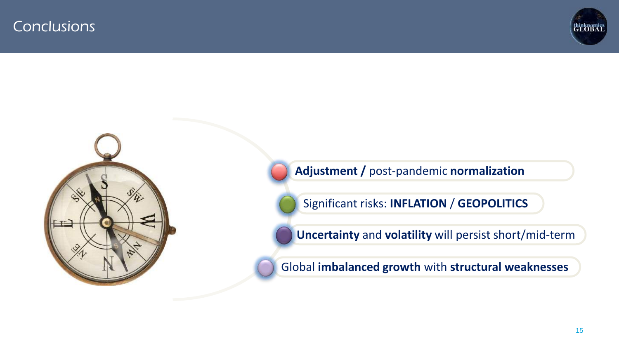



**Adjustment /** post-pandemic **normalization**

Significant risks: **INFLATION** / **GEOPOLITICS**

**Uncertainty** and **volatility** will persist short/mid-term

Global **imbalanced growth** with **structural weaknesses**